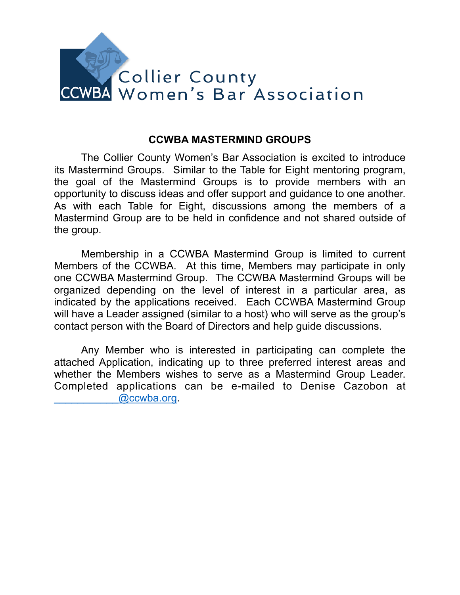

## **CCWBA MASTERMIND GROUPS**

 The Collier County Women's Bar Association is excited to introduce its Mastermind Groups. Similar to the Table for Eight mentoring program, the goal of the Mastermind Groups is to provide members with an opportunity to discuss ideas and offer support and guidance to one another. As with each Table for Eight, discussions among the members of a Mastermind Group are to be held in confidence and not shared outside of the group.

Membership in a CCWBA Mastermind Group is limited to current Members of the CCWBA. At this time, Members may participate in only one CCWBA Mastermind Group. The CCWBA Mastermind Groups will be organized depending on the level of interest in a particular area, as indicated by the applications received. Each CCWBA Mastermind Group will have a Leader assigned (similar to a host) who will serve as the group's contact person with the Board of Directors and help guide discussions.

 Any Member who is interested in participating can complete the attached Application, indicating up to three preferred interest areas and whether the Members wishes to serve as a Mastermind Group Leader. Completed applications can be e-mailed to Denise Cazobon at [\\_\\_\\_\\_\\_\\_\\_\\_\\_\\_\\_@ccwba.org.](mailto:___________@ccwba.org)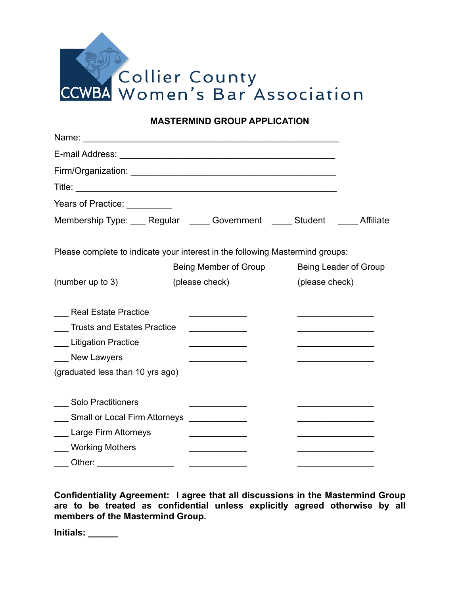

**MASTERMIND GROUP APPLICATION** 

| Years of Practice: <u>Neuron Alexander</u> |                                                                               |                       |
|--------------------------------------------|-------------------------------------------------------------------------------|-----------------------|
|                                            | Membership Type: Regular Government Student Affiliate                         |                       |
|                                            | Please complete to indicate your interest in the following Mastermind groups: |                       |
|                                            | Being Member of Group                                                         | Being Leader of Group |
| (number up to 3)                           | (please check)                                                                | (please check)        |
| <b>Real Estate Practice</b>                |                                                                               |                       |
| <b>Trusts and Estates Practice</b>         | <u> 1990 - Johann Barbara, martin a</u>                                       |                       |
| Litigation Practice                        |                                                                               |                       |
| New Lawyers                                |                                                                               |                       |
| (graduated less than 10 yrs ago)           |                                                                               |                       |
| <b>Solo Practitioners</b>                  |                                                                               |                       |
| <b>Small or Local Firm Attorneys</b>       | <u> 1990 - Johann Stoff, francuski filozof (</u>                              |                       |
| Large Firm Attorneys                       |                                                                               |                       |
| <b>Working Mothers</b>                     |                                                                               |                       |
| Other:                                     |                                                                               |                       |

**Confidentiality Agreement: I agree that all discussions in the Mastermind Group are to be treated as confidential unless explicitly agreed otherwise by all members of the Mastermind Group.** 

**Initials: \_\_\_\_\_\_**